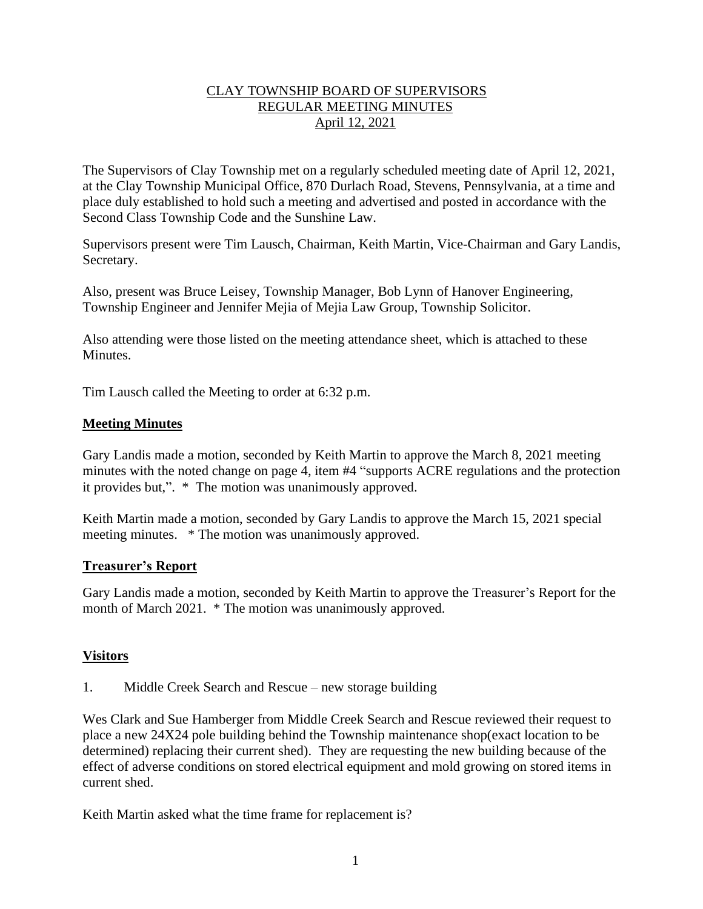# CLAY TOWNSHIP BOARD OF SUPERVISORS REGULAR MEETING MINUTES April 12, 2021

The Supervisors of Clay Township met on a regularly scheduled meeting date of April 12, 2021, at the Clay Township Municipal Office, 870 Durlach Road, Stevens, Pennsylvania, at a time and place duly established to hold such a meeting and advertised and posted in accordance with the Second Class Township Code and the Sunshine Law.

Supervisors present were Tim Lausch, Chairman, Keith Martin, Vice-Chairman and Gary Landis, Secretary.

Also, present was Bruce Leisey, Township Manager, Bob Lynn of Hanover Engineering, Township Engineer and Jennifer Mejia of Mejia Law Group, Township Solicitor.

Also attending were those listed on the meeting attendance sheet, which is attached to these Minutes.

Tim Lausch called the Meeting to order at 6:32 p.m.

# **Meeting Minutes**

Gary Landis made a motion, seconded by Keith Martin to approve the March 8, 2021 meeting minutes with the noted change on page 4, item #4 "supports ACRE regulations and the protection it provides but,". \* The motion was unanimously approved.

Keith Martin made a motion, seconded by Gary Landis to approve the March 15, 2021 special meeting minutes. \* The motion was unanimously approved.

#### **Treasurer's Report**

Gary Landis made a motion, seconded by Keith Martin to approve the Treasurer's Report for the month of March 2021. \* The motion was unanimously approved.

#### **Visitors**

1. Middle Creek Search and Rescue – new storage building

Wes Clark and Sue Hamberger from Middle Creek Search and Rescue reviewed their request to place a new 24X24 pole building behind the Township maintenance shop(exact location to be determined) replacing their current shed). They are requesting the new building because of the effect of adverse conditions on stored electrical equipment and mold growing on stored items in current shed.

Keith Martin asked what the time frame for replacement is?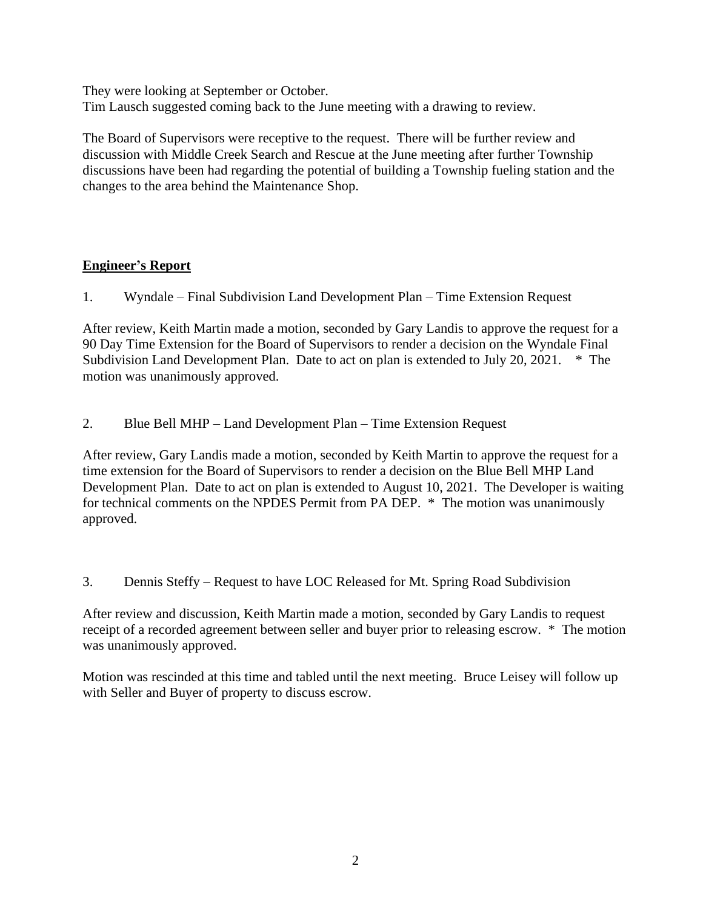They were looking at September or October. Tim Lausch suggested coming back to the June meeting with a drawing to review.

The Board of Supervisors were receptive to the request. There will be further review and discussion with Middle Creek Search and Rescue at the June meeting after further Township discussions have been had regarding the potential of building a Township fueling station and the changes to the area behind the Maintenance Shop.

# **Engineer's Report**

1. Wyndale – Final Subdivision Land Development Plan – Time Extension Request

After review, Keith Martin made a motion, seconded by Gary Landis to approve the request for a 90 Day Time Extension for the Board of Supervisors to render a decision on the Wyndale Final Subdivision Land Development Plan. Date to act on plan is extended to July 20, 2021. \* The motion was unanimously approved.

2. Blue Bell MHP – Land Development Plan – Time Extension Request

After review, Gary Landis made a motion, seconded by Keith Martin to approve the request for a time extension for the Board of Supervisors to render a decision on the Blue Bell MHP Land Development Plan. Date to act on plan is extended to August 10, 2021. The Developer is waiting for technical comments on the NPDES Permit from PA DEP. \* The motion was unanimously approved.

3. Dennis Steffy – Request to have LOC Released for Mt. Spring Road Subdivision

After review and discussion, Keith Martin made a motion, seconded by Gary Landis to request receipt of a recorded agreement between seller and buyer prior to releasing escrow. \* The motion was unanimously approved.

Motion was rescinded at this time and tabled until the next meeting. Bruce Leisey will follow up with Seller and Buyer of property to discuss escrow.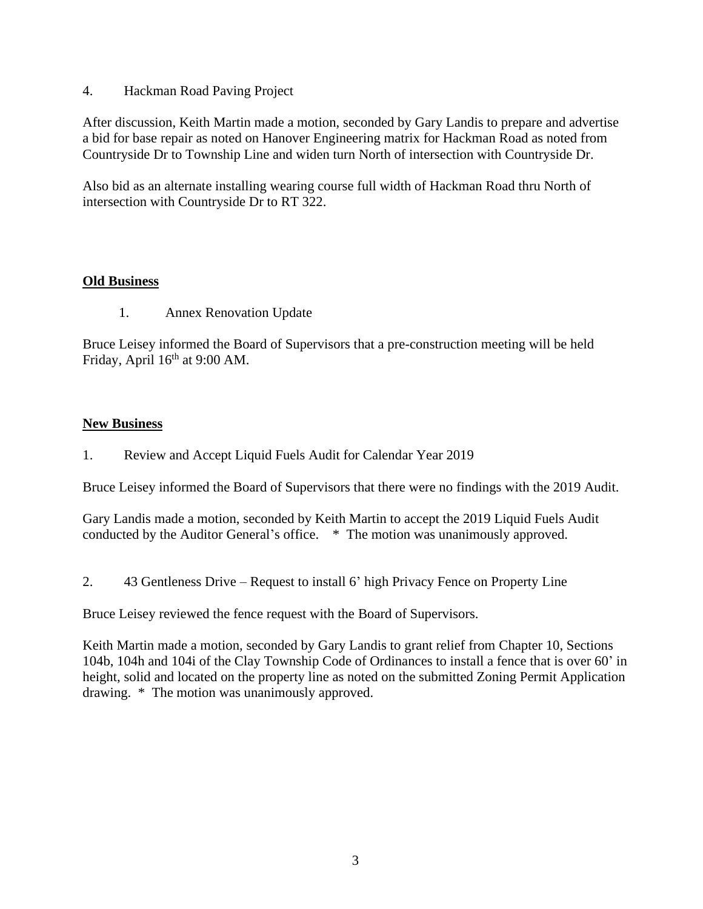4. Hackman Road Paving Project

After discussion, Keith Martin made a motion, seconded by Gary Landis to prepare and advertise a bid for base repair as noted on Hanover Engineering matrix for Hackman Road as noted from Countryside Dr to Township Line and widen turn North of intersection with Countryside Dr.

Also bid as an alternate installing wearing course full width of Hackman Road thru North of intersection with Countryside Dr to RT 322.

# **Old Business**

1. Annex Renovation Update

Bruce Leisey informed the Board of Supervisors that a pre-construction meeting will be held Friday, April  $16<sup>th</sup>$  at 9:00 AM.

# **New Business**

1. Review and Accept Liquid Fuels Audit for Calendar Year 2019

Bruce Leisey informed the Board of Supervisors that there were no findings with the 2019 Audit.

Gary Landis made a motion, seconded by Keith Martin to accept the 2019 Liquid Fuels Audit conducted by the Auditor General's office. \* The motion was unanimously approved.

2. 43 Gentleness Drive – Request to install 6' high Privacy Fence on Property Line

Bruce Leisey reviewed the fence request with the Board of Supervisors.

Keith Martin made a motion, seconded by Gary Landis to grant relief from Chapter 10, Sections 104b, 104h and 104i of the Clay Township Code of Ordinances to install a fence that is over 60' in height, solid and located on the property line as noted on the submitted Zoning Permit Application drawing. \* The motion was unanimously approved.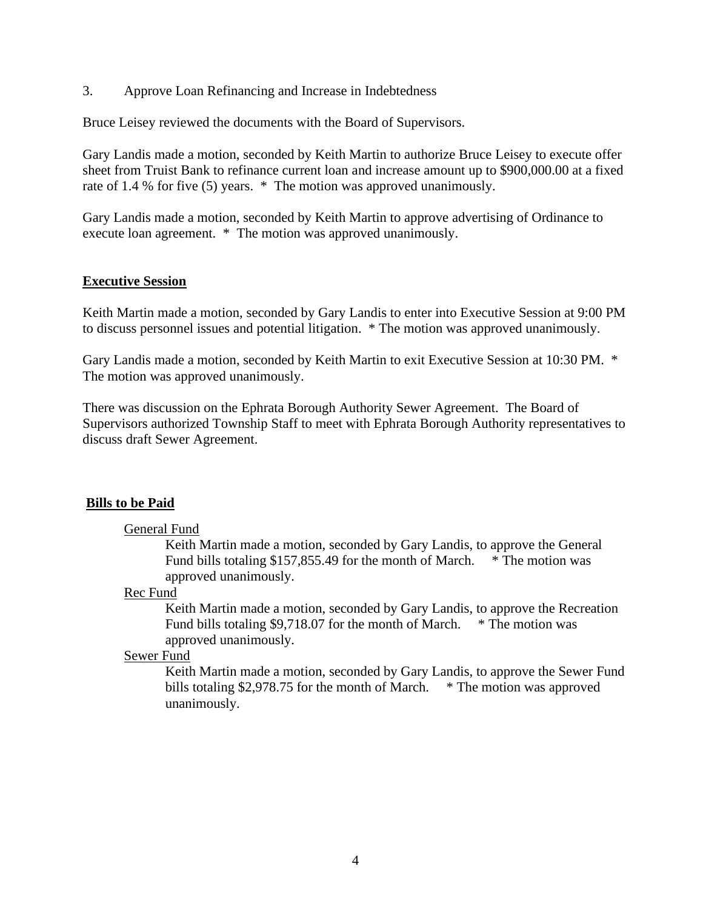3. Approve Loan Refinancing and Increase in Indebtedness

Bruce Leisey reviewed the documents with the Board of Supervisors.

Gary Landis made a motion, seconded by Keith Martin to authorize Bruce Leisey to execute offer sheet from Truist Bank to refinance current loan and increase amount up to \$900,000.00 at a fixed rate of 1.4 % for five (5) years. \* The motion was approved unanimously.

Gary Landis made a motion, seconded by Keith Martin to approve advertising of Ordinance to execute loan agreement. \* The motion was approved unanimously.

#### **Executive Session**

Keith Martin made a motion, seconded by Gary Landis to enter into Executive Session at 9:00 PM to discuss personnel issues and potential litigation. \* The motion was approved unanimously.

Gary Landis made a motion, seconded by Keith Martin to exit Executive Session at 10:30 PM. \* The motion was approved unanimously.

There was discussion on the Ephrata Borough Authority Sewer Agreement. The Board of Supervisors authorized Township Staff to meet with Ephrata Borough Authority representatives to discuss draft Sewer Agreement.

#### **Bills to be Paid**

#### General Fund

Keith Martin made a motion, seconded by Gary Landis, to approve the General Fund bills totaling \$157,855.49 for the month of March. \* The motion was approved unanimously.

#### Rec Fund

Keith Martin made a motion, seconded by Gary Landis, to approve the Recreation Fund bills totaling \$9,718.07 for the month of March. \* The motion was approved unanimously.

#### Sewer Fund

Keith Martin made a motion, seconded by Gary Landis, to approve the Sewer Fund bills totaling \$2,978.75 for the month of March. \* The motion was approved unanimously.